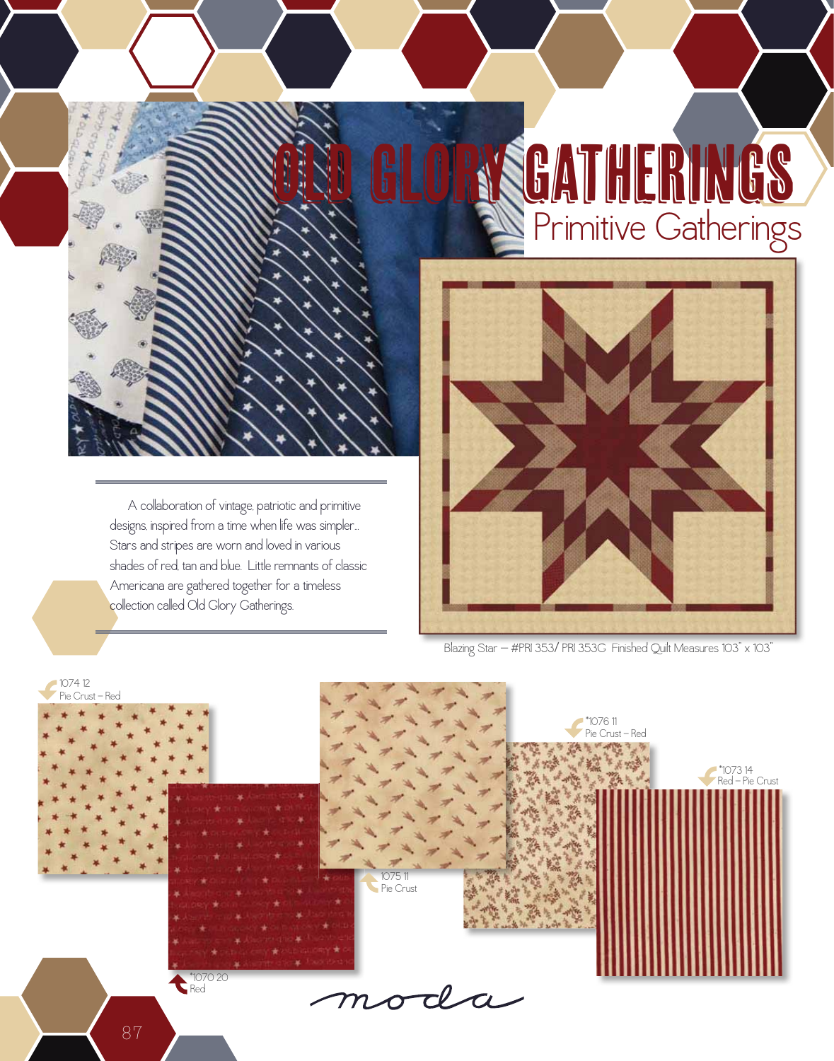## old glory gatherings Primitive Gatherings

 A collaboration of vintage, patriotic and primitive designs, inspired from a time when life was simpler... Stars and stripes are worn and loved in various shades of red, tan and blue. Little remnants of classic Americana are gathered together for a timeless collection called Old Glory Gatherings.



Blazing Star — #PRI 353/ PRI 353G Finished Quilt Measures 103" x 103"

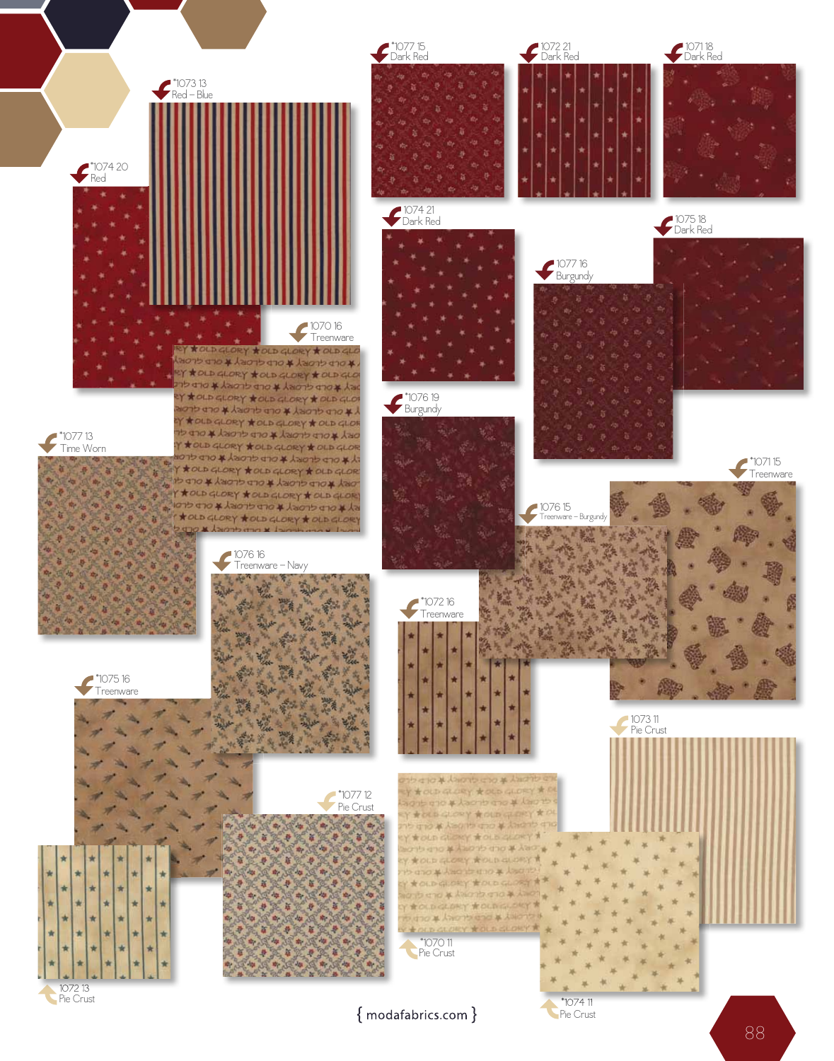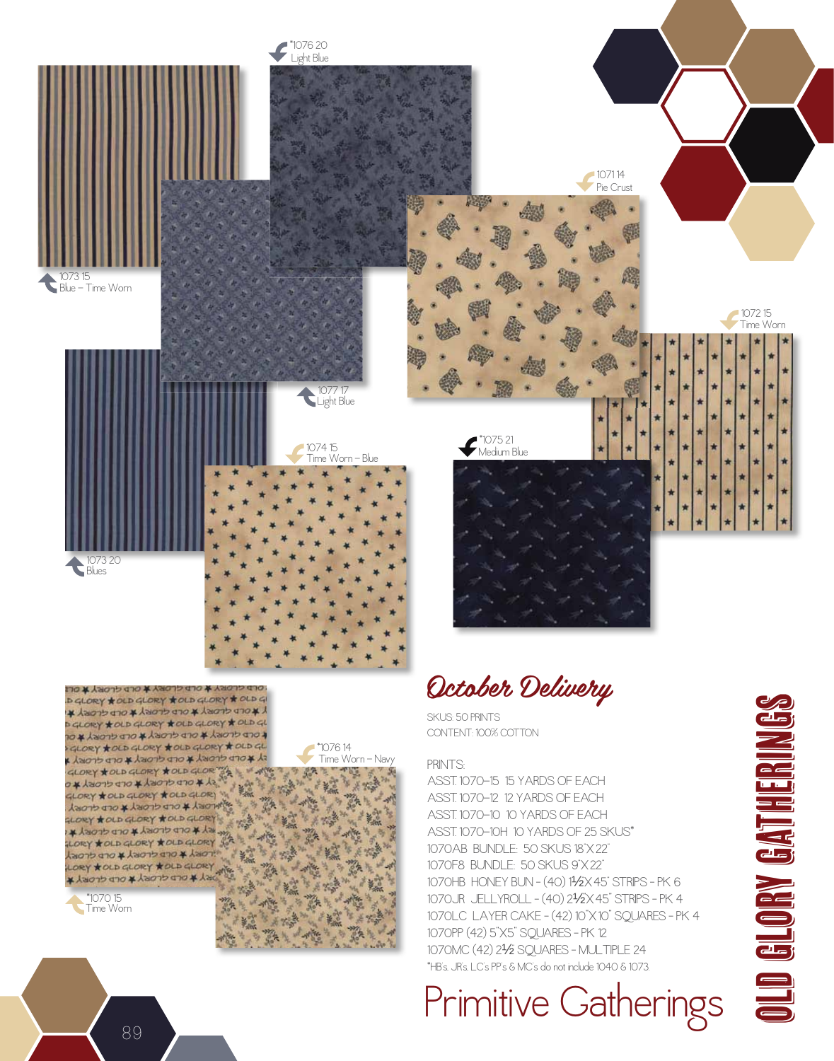

**PRY \* YACLORY \* OLD GLORY \* VAC** D GLORY \* OLD GLORY \* OLD GLORY \* OLD GI X XOLD GLORY X OLD GLORY X OLD GLORY X D GLORY \* OLD GLORY \* OLD GLORY \* OLD GL COD CLORY & OLD GLORY & OLD GLORY & OL GLORY \*OLD GLORY \*OLD GLORY \* OLD GL SY KOLD GLORY KOLD GLORY KOLD GLORY GLORY \* OLD GLORY \* OLD GLOR X \* OLD GLORY \* OLD GLORY \* O GLORY \* OLD GLORY \* OLD GLORY DEL # OFD CHOIS L # OFD CHOIS LORY \* OLD GLORY \* OLD GLORY ※ 人名のウ drox人名のrp drox人名 LORY \*OLD GLORY \*OLD GLORY SOR FORT & OLD GLORY & OLD GLORY LORY \* OLD GLORY \* OLD GLORY RY A DLD GLORY \* OLD GLORY \*

Time Worn \*1070 15



## PRINTS:

Time Worn - Navy

\*1076 14

ASST. 1070-15 15 YARDS OF EACh ASST. 1070-12 12 YARDS OF EACh ASST. 1070-10 10 YARDS OF EACh ASST. 1070-10h 10 YARDS OF 25 SkuS\* 1070AB BuNDLE: 50 SkuS 18"x 22" 1070F8 BuNDLE: 50 SkuS 9"x 22" 1070hB hONEY BuN – (40) 1½"x 45" STRIPS – Pk 6 1070JR JELLYROLL – (40) 2½"x 45" STRIPS – Pk 4 1070LC LAYER CAkE – (42) 10"x 10" SQuARES – Pk 4 1070PP (42) 5"x5" SQuARES – Pk 12 1070MC (42) 2½" SQuARES – MuLTIPLE 24 \*hB's, JR's, LC's PP's & MC's do not include 1040 & 1073.

Primitive Gatherings



89